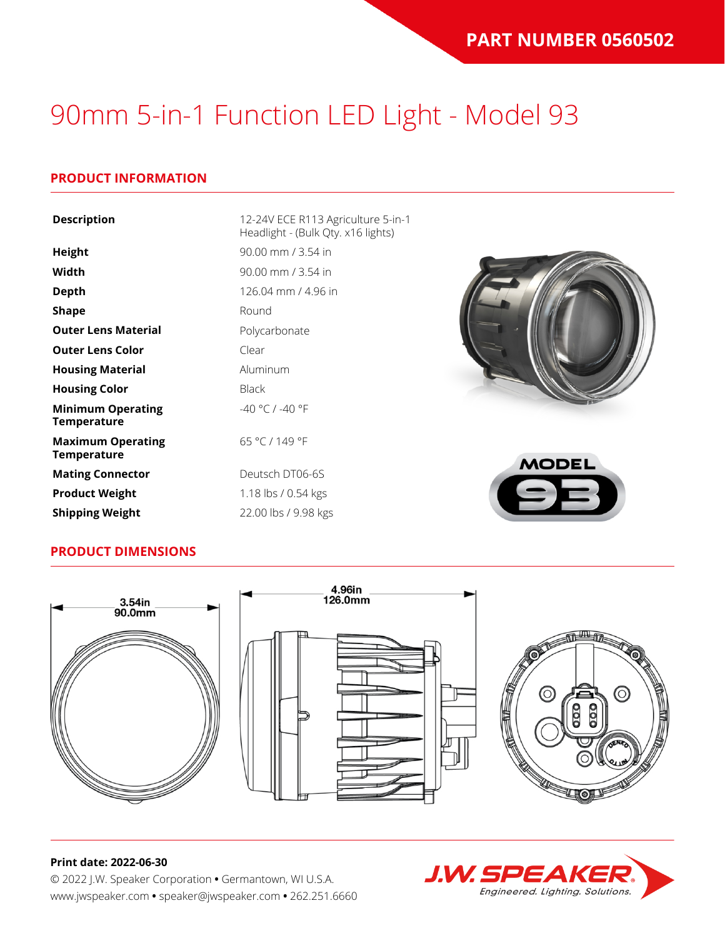### **PRODUCT INFORMATION**

| <b>Description</b>                             | 12-24V ECE R113 Agriculture 5-in-1<br>Headlight - (Bulk Qty. x16 lights) |
|------------------------------------------------|--------------------------------------------------------------------------|
| Height                                         | 90.00 mm / 3.54 in                                                       |
| Width                                          | $90.00$ mm $/$ 3.54 in                                                   |
| <b>Depth</b>                                   | 126.04 mm / 4.96 in                                                      |
| <b>Shape</b>                                   | Round                                                                    |
| <b>Outer Lens Material</b>                     | Polycarbonate                                                            |
| <b>Outer Lens Color</b>                        | Clear                                                                    |
| <b>Housing Material</b>                        | Aluminum                                                                 |
| <b>Housing Color</b>                           | <b>Black</b>                                                             |
| <b>Minimum Operating</b><br><b>Temperature</b> | -40 °C / -40 °F                                                          |
| <b>Maximum Operating</b><br><b>Temperature</b> | 65 °C / 149 °F<br><b>MODEL</b>                                           |
| <b>Mating Connector</b>                        | Deutsch DT06-6S                                                          |
| <b>Product Weight</b>                          | 1.18 lbs / 0.54 kgs                                                      |

#### **PRODUCT DIMENSIONS**

**Shipping Weight** 22.00 lbs / 9.98 kgs



#### **Print date: 2022-06-30**

© 2022 J.W. Speaker Corporation **•** Germantown, WI U.S.A. www.jwspeaker.com **•** speaker@jwspeaker.com **•** 262.251.6660

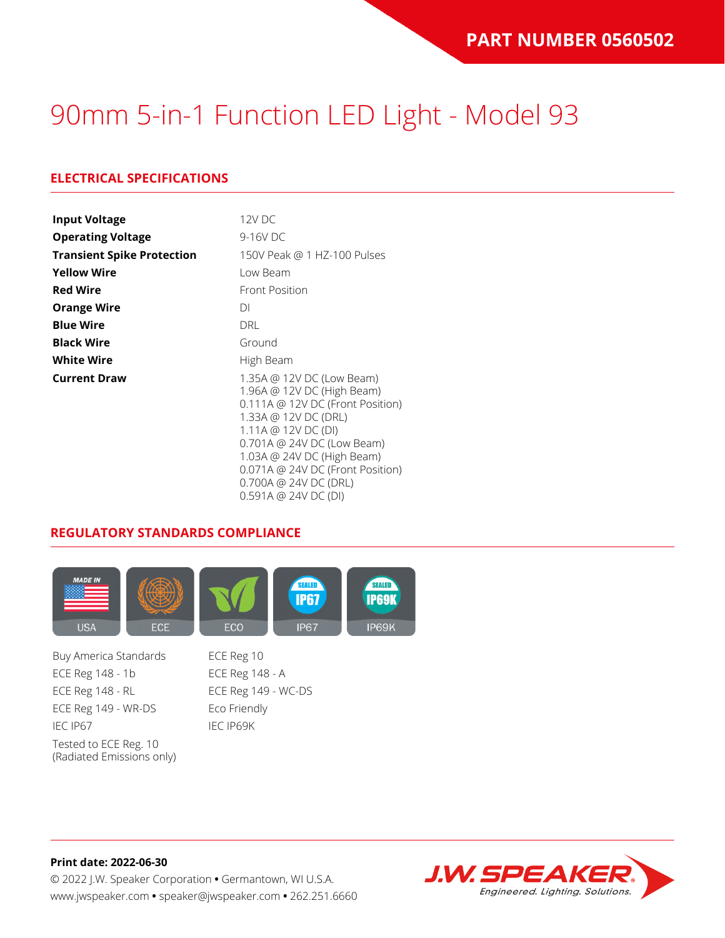## **ELECTRICAL SPECIFICATIONS**

| <b>Input Voltage</b>              | 12V DC                                                                                                                                                                                                                                                                                    |  |  |  |
|-----------------------------------|-------------------------------------------------------------------------------------------------------------------------------------------------------------------------------------------------------------------------------------------------------------------------------------------|--|--|--|
| <b>Operating Voltage</b>          | 9-16V DC                                                                                                                                                                                                                                                                                  |  |  |  |
| <b>Transient Spike Protection</b> | 150V Peak @ 1 HZ-100 Pulses                                                                                                                                                                                                                                                               |  |  |  |
| <b>Yellow Wire</b>                | Low Beam                                                                                                                                                                                                                                                                                  |  |  |  |
| <b>Red Wire</b>                   | Front Position                                                                                                                                                                                                                                                                            |  |  |  |
| <b>Orange Wire</b>                | DI                                                                                                                                                                                                                                                                                        |  |  |  |
| <b>Blue Wire</b>                  | DRL                                                                                                                                                                                                                                                                                       |  |  |  |
| <b>Black Wire</b>                 | Ground                                                                                                                                                                                                                                                                                    |  |  |  |
| <b>White Wire</b>                 | High Beam                                                                                                                                                                                                                                                                                 |  |  |  |
| <b>Current Draw</b>               | 1.35A @ 12V DC (Low Beam)<br>1.96A @ 12V DC (High Beam)<br>0.111A @ 12V DC (Front Position)<br>1.33A @ 12V DC (DRL)<br>1.11A @ 12V DC (DI)<br>0.701A @ 24V DC (Low Beam)<br>1.03A @ 24V DC (High Beam)<br>0.071A @ 24V DC (Front Position)<br>0.700A @ 24V DC (DRL)<br>0.591A @ 24VDC(DI) |  |  |  |

#### **REGULATORY STANDARDS COMPLIANCE**



Buy America Standards ECE Reg 10 ECE Reg 148 - 1b ECE Reg 148 - A ECE Reg 148 - RL ECE Reg 149 - WC-DS ECE Reg 149 - WR-DS Eco Friendly IEC IP67 IEC IP69K Tested to ECE Reg. 10 (Radiated Emissions only)

**Print date: 2022-06-30** © 2022 J.W. Speaker Corporation **•** Germantown, WI U.S.A. www.jwspeaker.com **•** speaker@jwspeaker.com **•** 262.251.6660

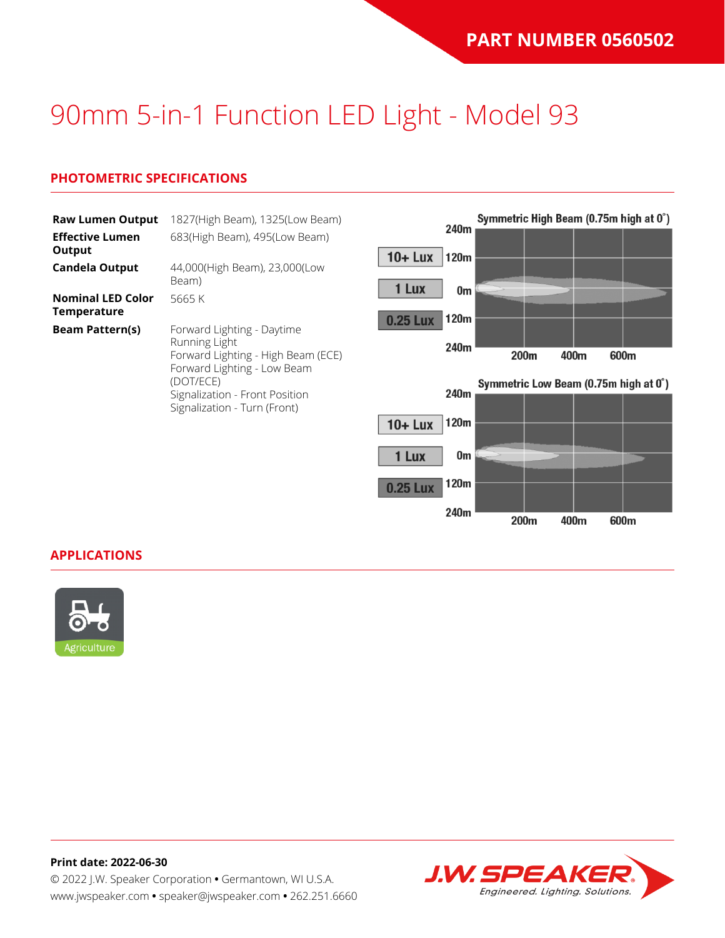### **PHOTOMETRIC SPECIFICATIONS**

| <b>Raw Lumen Output</b><br><b>Effective Lumen</b> | 1827(High Beam), 1325(Low Beam)<br>683(High Beam), 495(Low Beam)                   |                 | 240m |                                       |      | Symmetric High Beam (0.75m high at 0°) |  |
|---------------------------------------------------|------------------------------------------------------------------------------------|-----------------|------|---------------------------------------|------|----------------------------------------|--|
| Output                                            |                                                                                    | $10 +$ Lux      | 120m |                                       |      |                                        |  |
| <b>Candela Output</b>                             | 44,000(High Beam), 23,000(Low<br>Beam)                                             | 1 Lux           | 0m   |                                       |      |                                        |  |
| <b>Nominal LED Color</b><br><b>Temperature</b>    | 5665 K                                                                             |                 | 120m |                                       |      |                                        |  |
| <b>Beam Pattern(s)</b>                            | Forward Lighting - Daytime                                                         | <b>0.25 Lux</b> |      |                                       |      |                                        |  |
|                                                   | Running Light<br>Forward Lighting - High Beam (ECE)<br>Forward Lighting - Low Beam |                 | 240m | 200m                                  | 400m | 600m                                   |  |
|                                                   | (DOT/ECE)<br>Signalization - Front Position                                        |                 | 240m | Symmetric Low Beam (0.75m high at 0°) |      |                                        |  |
|                                                   | Signalization - Turn (Front)                                                       |                 |      |                                       |      |                                        |  |
|                                                   |                                                                                    | $10 +$ Lux      | 120m |                                       |      |                                        |  |
|                                                   |                                                                                    | 1 Lux           | 0m   |                                       |      |                                        |  |

120m

240m

200m

400m

600m

0.25 Lux

#### **APPLICATIONS**



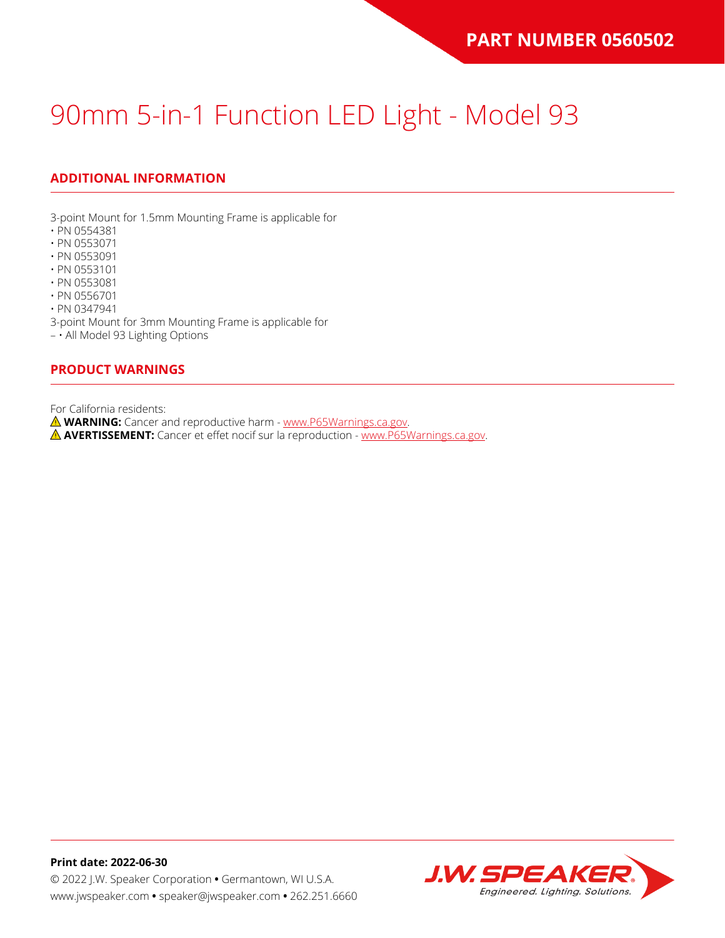## **ADDITIONAL INFORMATION**

3-point Mount for 1.5mm Mounting Frame is applicable for

- PN 0554381
- PN 0553071
- PN 0553091
- PN 0553101
- PN 0553081
- PN 0556701 • PN 0347941

3-point Mount for 3mm Mounting Frame is applicable for

– • All Model 93 Lighting Options

#### **PRODUCT WARNINGS**

For California residents:

**WARNING:** Cancer and reproductive harm - [www.P65Warnings.ca.gov](https://www.p65warnings.ca.gov/).

**AVERTISSEMENT:** Cancer et effet nocif sur la reproduction - [www.P65Warnings.ca.gov.](https://www.p65warnings.ca.gov/)

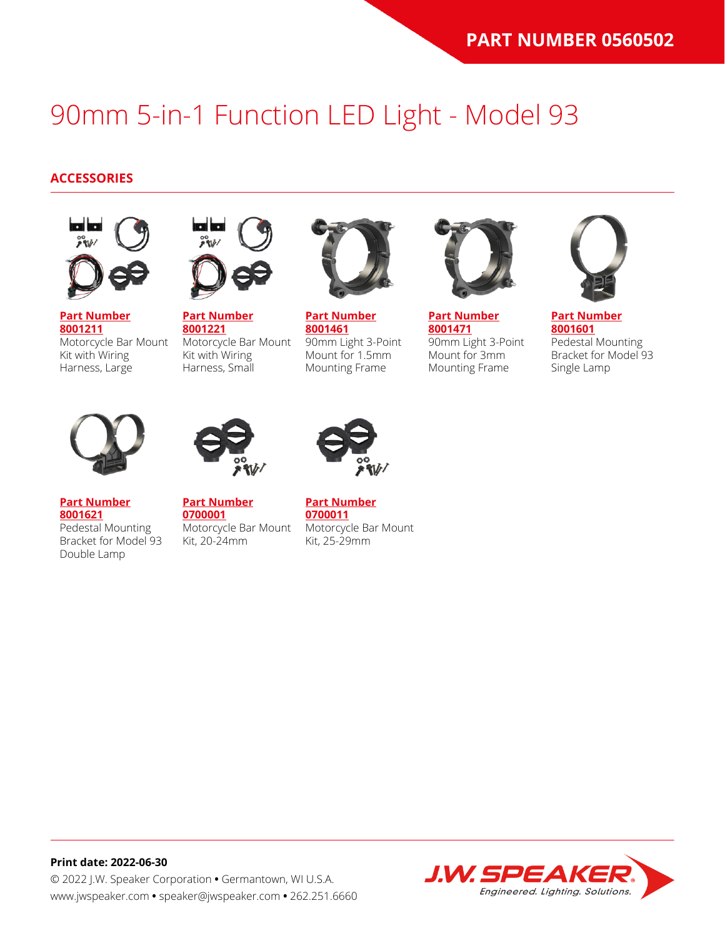### **ACCESSORIES**



**[Part Number](https://www.jwspeaker.com/products/90mm-headlights-model-93/8001211/) [8001211](https://www.jwspeaker.com/products/90mm-headlights-model-93/8001211/)** Motorcycle Bar Mount Kit with Wiring Harness, Large



**[Part Number](https://www.jwspeaker.com/products/90mm-headlights-model-93/8001221/) [8001221](https://www.jwspeaker.com/products/90mm-headlights-model-93/8001221/)** Motorcycle Bar Mount Kit with Wiring Harness, Small



**[Part Number](https://www.jwspeaker.com/products/90mm-headlights-model-93/8001461/) [8001461](https://www.jwspeaker.com/products/90mm-headlights-model-93/8001461/)** 90mm Light 3-Point Mount for 1.5mm Mounting Frame



**[Part Number](https://www.jwspeaker.com/products/90mm-headlights-model-93/8001471/) [8001471](https://www.jwspeaker.com/products/90mm-headlights-model-93/8001471/)** 90mm Light 3-Point Mount for 3mm Mounting Frame



**[Part Number](https://www.jwspeaker.com/products/90mm-headlights-model-93/8001601/) [8001601](https://www.jwspeaker.com/products/90mm-headlights-model-93/8001601/)** Pedestal Mounting Bracket for Model 93 Single Lamp



**[Part Number](https://www.jwspeaker.com/products/90mm-headlights-model-93/8001621/) [8001621](https://www.jwspeaker.com/products/90mm-headlights-model-93/8001621/)**

Double Lamp

Pedestal Mounting



**[Part Number](https://www.jwspeaker.com/?post_type=part&p=26513&preview=true) [0700001](https://www.jwspeaker.com/?post_type=part&p=26513&preview=true)** Bracket for Model 93 Motorcycle Bar Mount Kit, 20-24mm



**[Part Number](https://www.jwspeaker.com/?post_type=part&p=26512&preview=true) [0700011](https://www.jwspeaker.com/?post_type=part&p=26512&preview=true)** Motorcycle Bar Mount Kit, 25-29mm